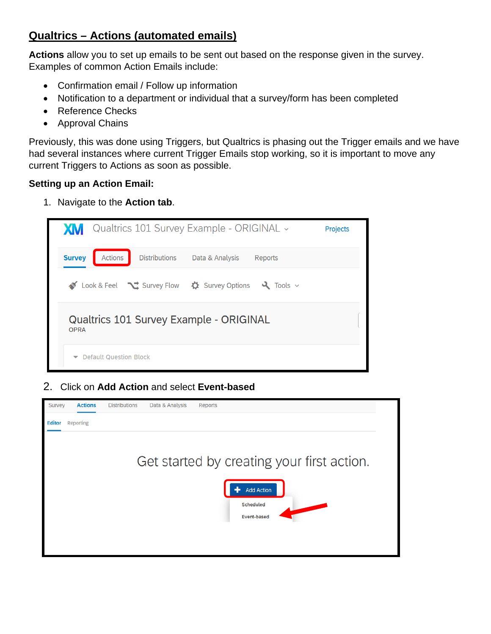# **Qualtrics – Actions (automated emails)**

**Actions** allow you to set up emails to be sent out based on the response given in the survey. Examples of common Action Emails include:

- Confirmation email / Follow up information
- Notification to a department or individual that a survey/form has been completed
- Reference Checks
- Approval Chains

Previously, this was done using Triggers, but Qualtrics is phasing out the Trigger emails and we have had several instances where current Trigger Emails stop working, so it is important to move any current Triggers to Actions as soon as possible.

## **Setting up an Action Email:**

1. Navigate to the **Action tab**.



2. Click on **Add Action** and select **Event-based**

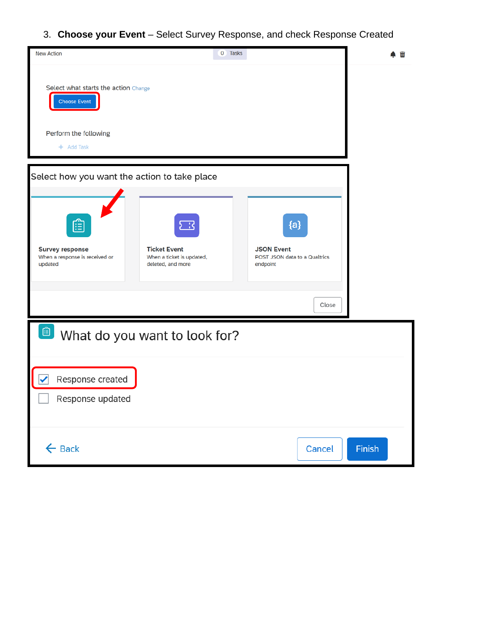3. **Choose your Event** – Select Survey Response, and check Response Created

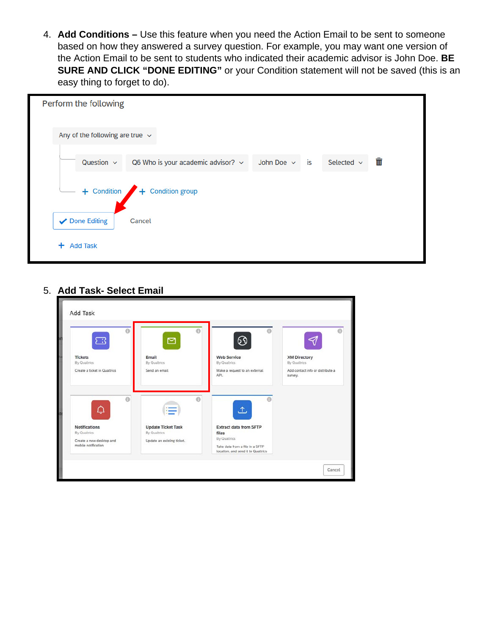4. **Add Conditions –** Use this feature when you need the Action Email to be sent to someone based on how they answered a survey question. For example, you may want one version of the Action Email to be sent to students who indicated their academic advisor is John Doe. **BE SURE AND CLICK "DONE EDITING"** or your Condition statement will not be saved (this is an easy thing to forget to do).



#### 5. **Add Task- Select Email**

| $\odot$                      | $\odot$                    | 0                                                                     |                                             |
|------------------------------|----------------------------|-----------------------------------------------------------------------|---------------------------------------------|
| ) : {                        | ⊠                          | 69                                                                    |                                             |
| <b>Tickets</b>               | Email                      | <b>Web Service</b>                                                    | <b>XM Directory</b>                         |
| By Qualtrics                 | By Qualtrics               | By Qualtrics                                                          | By Qualtrics                                |
| Create a ticket in Qualtrics | Send an email              | Make a request to an external<br>API.                                 | Add contact info or distribute a<br>survey. |
| $\Theta$<br>Ç                | $\oplus$                   | ≏                                                                     |                                             |
| <b>Notifications</b>         | <b>Update Ticket Task</b>  | <b>Extract data from SFTP</b>                                         |                                             |
| By Qualtrics                 | By Qualtrics               | files                                                                 |                                             |
| Create a new desktop and     | Update an existing ticket. | By Qualtrics                                                          |                                             |
| mobile notification          |                            | Take data from a file in a SFTP<br>location, and send it to Qualtrics |                                             |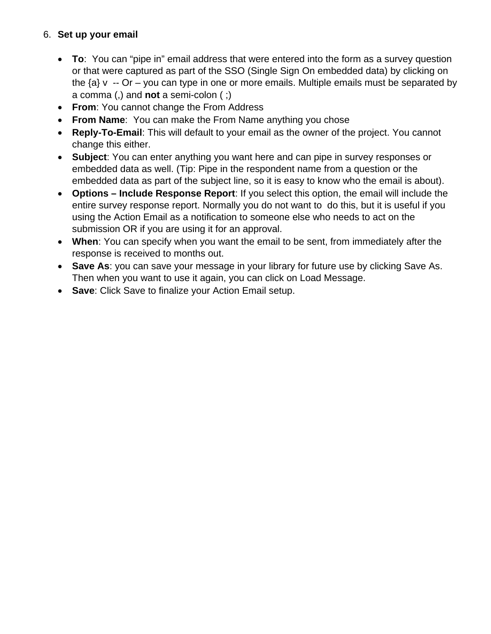## 6. **Set up your email**

- **To**: You can "pipe in" email address that were entered into the form as a survey question or that were captured as part of the SSO (Single Sign On embedded data) by clicking on the  $\{a\}$  v -- Or – you can type in one or more emails. Multiple emails must be separated by a comma (,) and **not** a semi-colon ( ;)
- **From**: You cannot change the From Address
- **From Name**: You can make the From Name anything you chose
- **Reply-To-Email**: This will default to your email as the owner of the project. You cannot change this either.
- **Subject**: You can enter anything you want here and can pipe in survey responses or embedded data as well. (Tip: Pipe in the respondent name from a question or the embedded data as part of the subject line, so it is easy to know who the email is about).
- **Options – Include Response Report**: If you select this option, the email will include the entire survey response report. Normally you do not want to do this, but it is useful if you using the Action Email as a notification to someone else who needs to act on the submission OR if you are using it for an approval.
- **When**: You can specify when you want the email to be sent, from immediately after the response is received to months out.
- **Save As**: you can save your message in your library for future use by clicking Save As. Then when you want to use it again, you can click on Load Message.
- **Save**: Click Save to finalize your Action Email setup.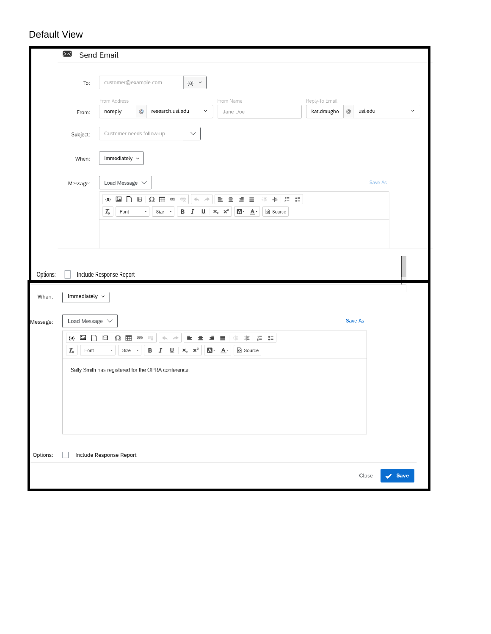# Default View

|          | $\Join$<br>Send Email                               |                                                |                                                                                          |                                                                                                         |                                                                |                                                                                               |                |               |         |                            |
|----------|-----------------------------------------------------|------------------------------------------------|------------------------------------------------------------------------------------------|---------------------------------------------------------------------------------------------------------|----------------------------------------------------------------|-----------------------------------------------------------------------------------------------|----------------|---------------|---------|----------------------------|
|          | To:                                                 | customer@example.com<br>$\{a\}$ $\quad$ $\lor$ |                                                                                          |                                                                                                         |                                                                |                                                                                               |                |               |         |                            |
|          |                                                     | From Address                                   |                                                                                          | $\checkmark$                                                                                            | From Name                                                      |                                                                                               | Reply-To Email |               |         | $\checkmark$               |
|          | From:                                               | noreply                                        | research.usi.edu<br>$^\copyright$                                                        |                                                                                                         | Jane Doe                                                       |                                                                                               | kat.draugho    | $^\copyright$ | usi.edu |                            |
|          | Subject:                                            | Customer needs follow-up                       |                                                                                          | $\checkmark$                                                                                            |                                                                |                                                                                               |                |               |         |                            |
|          | When:                                               | Immediately $\sim$                             |                                                                                          |                                                                                                         |                                                                |                                                                                               |                |               |         |                            |
|          | Message:                                            | Load Message $\vee$                            |                                                                                          |                                                                                                         |                                                                |                                                                                               |                |               | Save As |                            |
|          |                                                     | $\ddot{\phantom{a}}$<br>${a}$<br>n             | $\blacksquare$<br>$\Omega$ #<br>œ<br>ę                                                   | $\phi_1$ , $\rho\bar{p}$                                                                                | 重。<br>亖                                                        | $\equiv \begin{array}{c} \equiv \parallel \oplus \parallel \oplus \parallel \geq \end{array}$ |                |               |         |                            |
|          |                                                     | $\mathcal{I}_{\mathsf{x}}$<br>$\mathsf{Font}$  | $\mathsf B$<br>Size<br>٠<br>$\scriptstyle\rm v$                                          | I<br>$\mathsf{U}$                                                                                       | $A - A$<br>$\times_{\rm e}$<br>$\times^2$                      | Source                                                                                        |                |               |         |                            |
|          |                                                     |                                                |                                                                                          |                                                                                                         |                                                                |                                                                                               |                |               |         |                            |
|          |                                                     |                                                |                                                                                          |                                                                                                         |                                                                |                                                                                               |                |               |         |                            |
| Options: |                                                     | Include Response Report                        |                                                                                          |                                                                                                         |                                                                |                                                                                               |                |               |         |                            |
| When:    | Immediately ~                                       |                                                |                                                                                          |                                                                                                         |                                                                |                                                                                               |                |               |         |                            |
| Message: | Load Message $\sqrt{}$                              |                                                |                                                                                          |                                                                                                         |                                                                |                                                                                               |                | Save As       |         |                            |
|          | ھمُ<br>${a}$<br>$\mathcal{I}_{\mathsf{x}}$<br>Font  | ⊟<br>$\Omega$ =<br>Size<br>÷                   | $\rho\bar{p}$<br>œ<br>ę<br>$\frac{1}{2}$<br>$\mathsf B$<br>$\underline{\mathsf{U}}$<br>Ι | $\equiv$<br>$\equiv$<br>$\mathsf{x}_{\scriptscriptstyle \sf e}$ $\mathsf{x}^{\scriptscriptstyle \sf e}$ | 레리 - 베리 - 레리 - 레리<br>$\equiv$<br>$\equiv$<br>Source<br>$A - A$ | $\stackrel{\bullet}{\bullet} \equiv$                                                          |                |               |         |                            |
|          | Sally Smith has registered for the OPRA conference. |                                                |                                                                                          |                                                                                                         |                                                                |                                                                                               |                |               |         |                            |
|          |                                                     |                                                |                                                                                          |                                                                                                         |                                                                |                                                                                               |                |               |         |                            |
|          |                                                     |                                                |                                                                                          |                                                                                                         |                                                                |                                                                                               |                |               |         |                            |
|          |                                                     |                                                |                                                                                          |                                                                                                         |                                                                |                                                                                               |                |               |         |                            |
|          |                                                     |                                                |                                                                                          |                                                                                                         |                                                                |                                                                                               |                |               |         |                            |
| Options: |                                                     | Include Response Report                        |                                                                                          |                                                                                                         |                                                                |                                                                                               |                |               |         |                            |
|          |                                                     |                                                |                                                                                          |                                                                                                         |                                                                |                                                                                               |                |               | Close   | $\blacktriangleright$ Save |